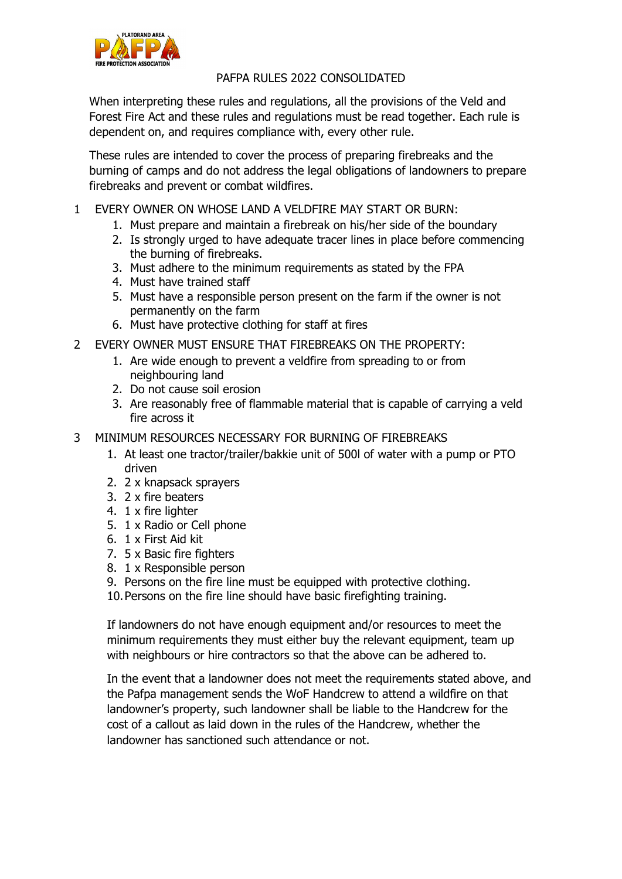

## PAFPA RULES 2022 CONSOLIDATED

When interpreting these rules and regulations, all the provisions of the Veld and Forest Fire Act and these rules and regulations must be read together. Each rule is dependent on, and requires compliance with, every other rule.

These rules are intended to cover the process of preparing firebreaks and the burning of camps and do not address the legal obligations of landowners to prepare firebreaks and prevent or combat wildfires.

- 1 EVERY OWNER ON WHOSE LAND A VELDFIRE MAY START OR BURN:
	- 1. Must prepare and maintain a firebreak on his/her side of the boundary
	- 2. Is strongly urged to have adequate tracer lines in place before commencing the burning of firebreaks.
	- 3. Must adhere to the minimum requirements as stated by the FPA
	- 4. Must have trained staff
	- 5. Must have a responsible person present on the farm if the owner is not permanently on the farm
	- 6. Must have protective clothing for staff at fires
- 2 EVERY OWNER MUST ENSURE THAT FIREBREAKS ON THE PROPERTY:
	- 1. Are wide enough to prevent a veldfire from spreading to or from neighbouring land
	- 2. Do not cause soil erosion
	- 3. Are reasonably free of flammable material that is capable of carrying a veld fire across it
- 3 MINIMUM RESOURCES NECESSARY FOR BURNING OF FIREBREAKS
	- 1. At least one tractor/trailer/bakkie unit of 500l of water with a pump or PTO driven
	- 2. 2 x knapsack sprayers
	- 3. 2 x fire beaters
	- 4. 1 x fire lighter
	- 5. 1 x Radio or Cell phone
	- 6. 1 x First Aid kit
	- 7. 5 x Basic fire fighters
	- 8. 1 x Responsible person
	- 9. Persons on the fire line must be equipped with protective clothing.
	- 10.Persons on the fire line should have basic firefighting training.

If landowners do not have enough equipment and/or resources to meet the minimum requirements they must either buy the relevant equipment, team up with neighbours or hire contractors so that the above can be adhered to.

In the event that a landowner does not meet the requirements stated above, and the Pafpa management sends the WoF Handcrew to attend a wildfire on that landowner's property, such landowner shall be liable to the Handcrew for the cost of a callout as laid down in the rules of the Handcrew, whether the landowner has sanctioned such attendance or not.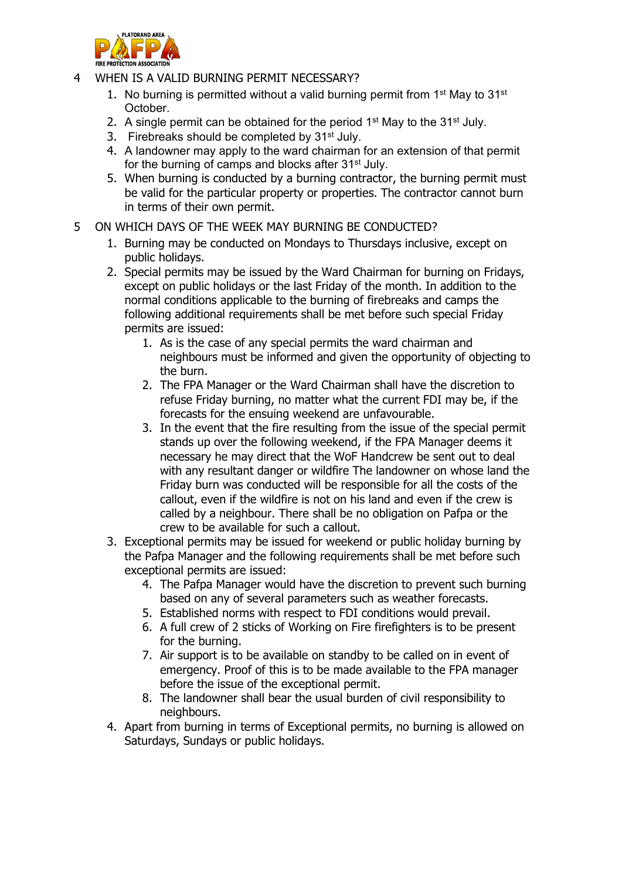

- 4 WHEN IS A VALID BURNING PERMIT NECESSARY?
	- 1. No burning is permitted without a valid burning permit from  $1<sup>st</sup>$  May to  $31<sup>st</sup>$ October.
	- 2. A single permit can be obtained for the period  $1<sup>st</sup>$  May to the  $31<sup>st</sup>$  July.
	- 3. Firebreaks should be completed by 31<sup>st</sup> July.
	- 4. A landowner may apply to the ward chairman for an extension of that permit for the burning of camps and blocks after 31<sup>st</sup> July.
	- 5. When burning is conducted by a burning contractor, the burning permit must be valid for the particular property or properties. The contractor cannot burn in terms of their own permit.
- 5 ON WHICH DAYS OF THE WEEK MAY BURNING BE CONDUCTED?
	- 1. Burning may be conducted on Mondays to Thursdays inclusive, except on public holidays.
	- 2. Special permits may be issued by the Ward Chairman for burning on Fridays, except on public holidays or the last Friday of the month. In addition to the normal conditions applicable to the burning of firebreaks and camps the following additional requirements shall be met before such special Friday permits are issued:
		- 1. As is the case of any special permits the ward chairman and neighbours must be informed and given the opportunity of objecting to the burn.
		- 2. The FPA Manager or the Ward Chairman shall have the discretion to refuse Friday burning, no matter what the current FDI may be, if the forecasts for the ensuing weekend are unfavourable.
		- 3. In the event that the fire resulting from the issue of the special permit stands up over the following weekend, if the FPA Manager deems it necessary he may direct that the WoF Handcrew be sent out to deal with any resultant danger or wildfire The landowner on whose land the Friday burn was conducted will be responsible for all the costs of the callout, even if the wildfire is not on his land and even if the crew is called by a neighbour. There shall be no obligation on Pafpa or the crew to be available for such a callout.
	- 3. Exceptional permits may be issued for weekend or public holiday burning by the Pafpa Manager and the following requirements shall be met before such exceptional permits are issued:
		- 4. The Pafpa Manager would have the discretion to prevent such burning based on any of several parameters such as weather forecasts.
		- 5. Established norms with respect to FDI conditions would prevail.
		- 6. A full crew of 2 sticks of Working on Fire firefighters is to be present for the burning.
		- 7. Air support is to be available on standby to be called on in event of emergency. Proof of this is to be made available to the FPA manager before the issue of the exceptional permit.
		- 8. The landowner shall bear the usual burden of civil responsibility to neighbours.
	- 4. Apart from burning in terms of Exceptional permits, no burning is allowed on Saturdays, Sundays or public holidays.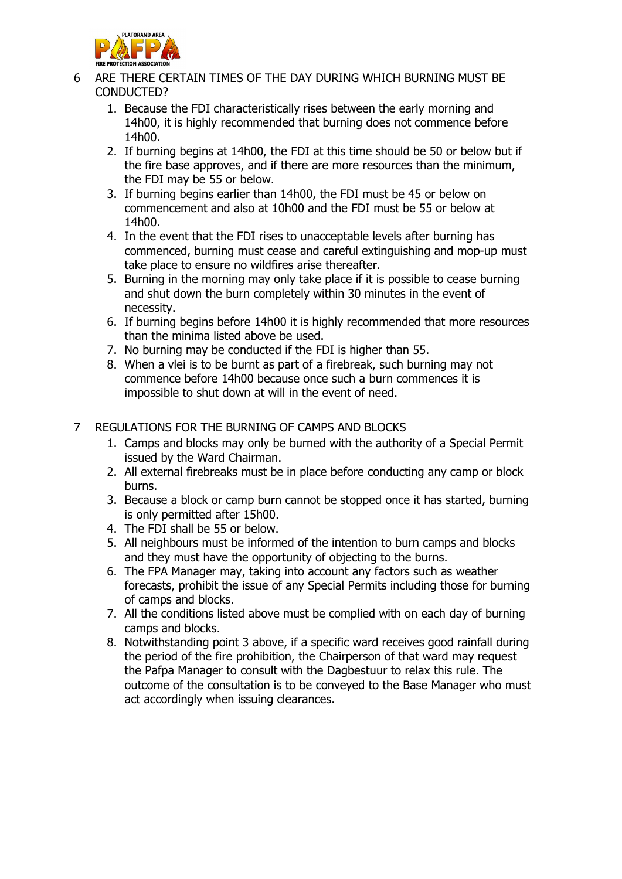

- 6 ARE THERE CERTAIN TIMES OF THE DAY DURING WHICH BURNING MUST BE CONDUCTED?
	- 1. Because the FDI characteristically rises between the early morning and 14h00, it is highly recommended that burning does not commence before 14h00.
	- 2. If burning begins at 14h00, the FDI at this time should be 50 or below but if the fire base approves, and if there are more resources than the minimum, the FDI may be 55 or below.
	- 3. If burning begins earlier than 14h00, the FDI must be 45 or below on commencement and also at 10h00 and the FDI must be 55 or below at 14h00.
	- 4. In the event that the FDI rises to unacceptable levels after burning has commenced, burning must cease and careful extinguishing and mop-up must take place to ensure no wildfires arise thereafter.
	- 5. Burning in the morning may only take place if it is possible to cease burning and shut down the burn completely within 30 minutes in the event of necessity.
	- 6. If burning begins before 14h00 it is highly recommended that more resources than the minima listed above be used.
	- 7. No burning may be conducted if the FDI is higher than 55.
	- 8. When a vlei is to be burnt as part of a firebreak, such burning may not commence before 14h00 because once such a burn commences it is impossible to shut down at will in the event of need.
- 7 REGULATIONS FOR THE BURNING OF CAMPS AND BLOCKS
	- 1. Camps and blocks may only be burned with the authority of a Special Permit issued by the Ward Chairman.
	- 2. All external firebreaks must be in place before conducting any camp or block burns.
	- 3. Because a block or camp burn cannot be stopped once it has started, burning is only permitted after 15h00.
	- 4. The FDI shall be 55 or below.
	- 5. All neighbours must be informed of the intention to burn camps and blocks and they must have the opportunity of objecting to the burns.
	- 6. The FPA Manager may, taking into account any factors such as weather forecasts, prohibit the issue of any Special Permits including those for burning of camps and blocks.
	- 7. All the conditions listed above must be complied with on each day of burning camps and blocks.
	- 8. Notwithstanding point 3 above, if a specific ward receives good rainfall during the period of the fire prohibition, the Chairperson of that ward may request the Pafpa Manager to consult with the Dagbestuur to relax this rule. The outcome of the consultation is to be conveyed to the Base Manager who must act accordingly when issuing clearances.